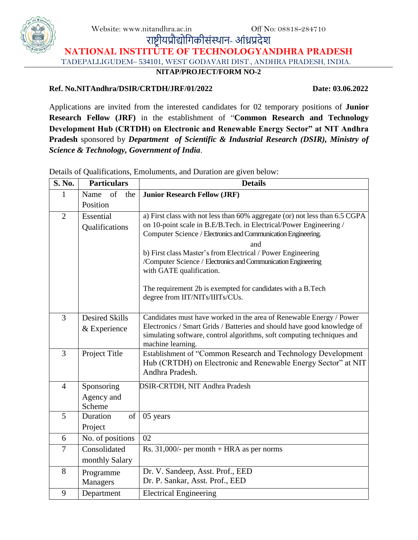Website: www.nitandhra.ac.in Off No: 08818-284710

राष्ट्रीयप्रौद्योगिकीसंस्थान- आंध्रप्रदेश

**NATIONAL INSTITUTE OF TECHNOLOGYANDHRA PRADESH** TADEPALLIGUDEM– 534101, WEST GODAVARI DIST., ANDHRA PRADESH, INDIA.

**NITAP/PROJECT/FORM NO-2**

#### **Ref. No.NITAndhra/DSIR/CRTDH/JRF/01/2022 Date: 03.06.2022**

Applications are invited from the interested candidates for 02 temporary positions of **Junior Research Fellow (JRF)** in the establishment of "**Common Research and Technology Development Hub (CRTDH) on Electronic and Renewable Energy Sector" at NIT Andhra Pradesh** sponsored by *Department of Scientific & Industrial Research (DSIR), Ministry of Science & Technology, Government of India*.

**S. No. Particulars Details** 1 Name of the Position **Junior Research Fellow (JRF)** 2 Essential Qualifications a) First class with not less than 60% aggregate (or) not less than 6.5 CGPA on 10-point scale in B.E/B.Tech. in Electrical/Power Engineering / Computer Science / Electronics and Communication Engineering. and b) First class Master's from Electrical / Power Engineering /Computer Science / Electronics and Communication Engineering with GATE qualification. The requirement 2b is exempted for candidates with a B.Tech degree from IIT/NITs/IIITs/CUs. 3 Desired Skills & Experience Candidates must have worked in the area of Renewable Energy / Power Electronics / Smart Grids / Batteries and should have good knowledge of simulating software, control algorithms, soft computing techniques and machine learning. 3 Project Title Establishment of "Common Research and Technology Development Hub (CRTDH) on Electronic and Renewable Energy Sector" at NIT Andhra Pradesh. 4 Sponsoring Agency and Scheme DSIR-CRTDH, NIT Andhra Pradesh 5 Duration of Project 05 years 6 | No. of positions  $\vert 02 \vert$ 7 Consolidated monthly Salary Rs. 31,000/- per month + HRA as per norms 8 Programme Managers Dr. V. Sandeep, Asst. Prof., EED Dr. P. Sankar, Asst. Prof., EED 9 Department Electrical Engineering

Details of Qualifications, Emoluments, and Duration are given below:

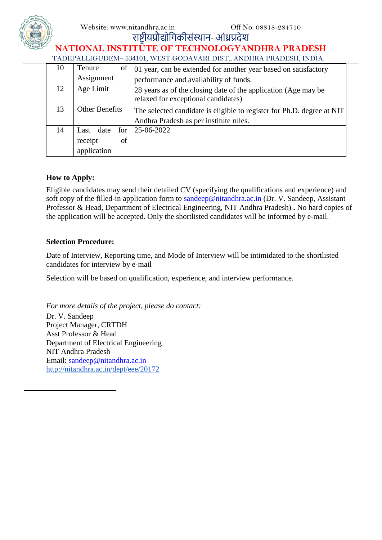Website: www.nitandhra.ac.in Off No: 08818-284710



# राष्ट्रीयप्रौद्योगिकीसंस्थान- आंध्रप्रदेश

#### **NATIONAL INSTITUTE OF TECHNOLOGYANDHRA PRADESH** TADEPALLIGUDEM– 534101, WEST GODAVARI DIST., ANDHRA PRADESH, INDIA.

| 10 | $\sigma$<br>Tenure | 01 year, can be extended for another year based on satisfactory                                       |  |  |  |  |
|----|--------------------|-------------------------------------------------------------------------------------------------------|--|--|--|--|
|    | Assignment         | performance and availability of funds.                                                                |  |  |  |  |
| 12 | Age Limit          | 28 years as of the closing date of the application (Age may be<br>relaxed for exceptional candidates) |  |  |  |  |
| 13 | Other Benefits     | The selected candidate is eligible to register for Ph.D. degree at NIT                                |  |  |  |  |
|    |                    | Andhra Pradesh as per institute rules.                                                                |  |  |  |  |
| 14 | Last date for      | 25-06-2022                                                                                            |  |  |  |  |
|    | receipt<br>of      |                                                                                                       |  |  |  |  |
|    | application        |                                                                                                       |  |  |  |  |

# **How to Apply:**

Eligible candidates may send their detailed CV (specifying the qualifications and experience) and soft copy of the filled-in application form to [sandeep@nitandhra.ac.in](mailto:sandeep@nitandhra.ac.in) (Dr. V. Sandeep, Assistant Professor & Head, Department of Electrical Engineering, NIT Andhra Pradesh) **.** [No hard copies of](mailto:reshma@nitandhra.ac.%20(Dr.%20Talari%20Reshma,%20Assistant%20Professor,%20Department%20of%20Civil%20Engineering,%20%20NIT%20Andhra%20Pradesh).%20No%20hard%20copies%20of%20the%20application%20will)  [the application will](mailto:reshma@nitandhra.ac.%20(Dr.%20Talari%20Reshma,%20Assistant%20Professor,%20Department%20of%20Civil%20Engineering,%20%20NIT%20Andhra%20Pradesh).%20No%20hard%20copies%20of%20the%20application%20will) be accepted. Only the shortlisted candidates will be informed by e-mail.

## **Selection Procedure:**

Date of Interview, Reporting time, and Mode of Interview will be intimidated to the shortlisted candidates for interview by e-mail

Selection will be based on qualification, experience, and interview performance.

*For more details of the project, please do contact:* Dr. V. Sandeep Project Manager, CRTDH Asst Professor & Head Department of Electrical Engineering NIT Andhra Pradesh Email: [sandeep@nitandhra.ac.in](mailto:sandeep@nitandhra.ac.in) <http://nitandhra.ac.in/dept/eee/20172>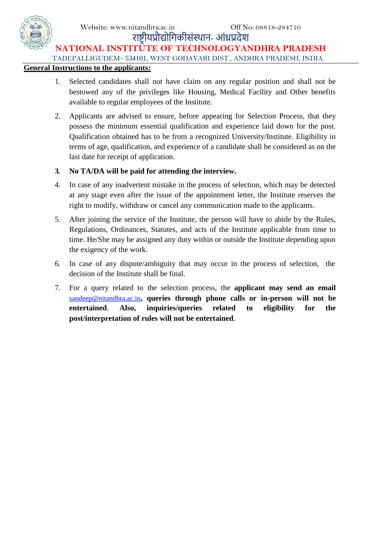

# राष्ट्रीयप्रौद्योगिकीसंस्थान- आंध्रप्रदेश **NATIONAL INSTITUTE OF TECHNOLOGYANDHRA PRADESH**

TADEPALLIGUDEM– 534101, WEST GODAVARI DIST., ANDHRA PRADESH, INDIA.

### **General Instructions to the applicants:**

- 1. Selected candidates shall not have claim on any regular position and shall not be bestowed any of the privileges like Housing, Medical Facility and Other benefits available to regular employees of the Institute.
- 2. Applicants are advised to ensure, before appearing for Selection Process, that they possess the minimum essential qualification and experience laid down for the post. Qualification obtained has to be from a recognized University/Institute. Eligibility in terms of age, qualification, and experience of a candidate shall be considered as on the last date for receipt of application.

## **3. No TA/DA will be paid for attending the interview.**

- 4. In case of any inadvertent mistake in the process of selection, which may be detected at any stage even after the issue of the appointment letter, the Institute reserves the right to modify, withdraw or cancel any communication made to the applicants.
- 5. After joining the service of the Institute, the person will have to abide by the Rules, Regulations, Ordinances, Statutes, and acts of the Institute applicable from time to time. He/She may be assigned any duty within or outside the Institute depending upon the exigency of the work.
- 6. In case of any dispute/ambiguity that may occur in the process of selection, the decision of the Institute shall be final.
- 7. For a query related to the selection process, the **applicant may send an email**  [sandeep@nitandhra.ac.in](mailto:sandeep@nitandhra.ac.in)**, queries through phone calls or in-person will not be entertained**. **Also, inquiries/queries related to eligibility for the post/interpretation of rules will not be entertained**.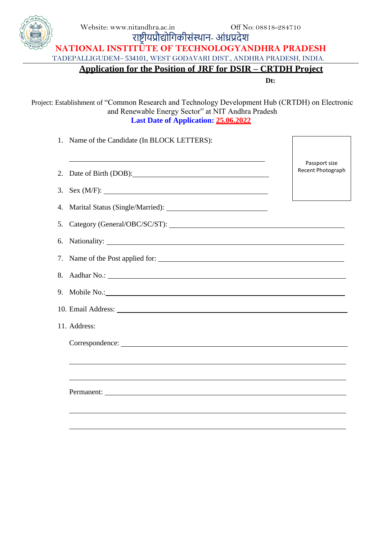

Website: www.nitandhra.ac.in Off No: 08818-284710 राष्ट्रीयप्रौद्योगिकीसंस्थान- आंध्रप्रदेश **NATIONAL INSTITUTE OF TECHNOLOGYANDHRA PRADESH** TADEPALLIGUDEM– 534101, WEST GODAVARI DIST., ANDHRA PRADESH, INDIA.

**Application for the Position of JRF for DSIR – CRTDH Project**

**Dt:**

Project: Establishment of "Common Research and Technology Development Hub (CRTDH) on Electronic and Renewable Energy Sector" at NIT Andhra Pradesh **Last Date of Application: 25.06.2022**

| Name of the Candidate (In BLOCK LETTERS):<br>1.                                                                                                                                                                                |                                    |
|--------------------------------------------------------------------------------------------------------------------------------------------------------------------------------------------------------------------------------|------------------------------------|
| 2.<br>Date of Birth (DOB): 1999                                                                                                                                                                                                | Passport size<br>Recent Photograph |
| 3.                                                                                                                                                                                                                             |                                    |
| 4.                                                                                                                                                                                                                             |                                    |
| 5.                                                                                                                                                                                                                             |                                    |
| 6.                                                                                                                                                                                                                             |                                    |
| Name of the Post applied for:<br>7.                                                                                                                                                                                            |                                    |
| 8.                                                                                                                                                                                                                             |                                    |
| 9.<br>Mobile No.: Notice No.:                                                                                                                                                                                                  |                                    |
|                                                                                                                                                                                                                                |                                    |
| 11. Address:                                                                                                                                                                                                                   |                                    |
| Correspondence: New York School School School School School School School School School School School School School School School School School School School School School School School School School School School School S |                                    |
|                                                                                                                                                                                                                                |                                    |
|                                                                                                                                                                                                                                |                                    |
|                                                                                                                                                                                                                                |                                    |
|                                                                                                                                                                                                                                |                                    |
|                                                                                                                                                                                                                                |                                    |